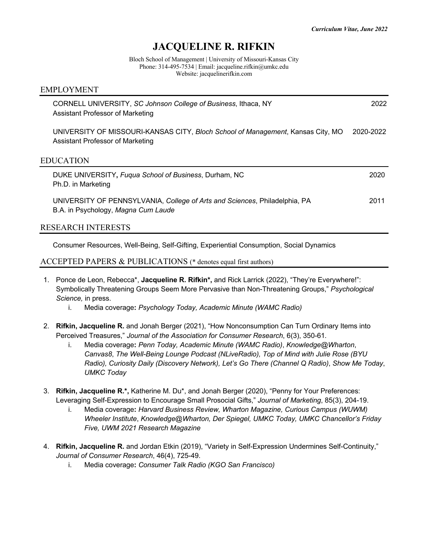## **JACQUELINE R. RIFKIN**

Bloch School of Management | University of Missouri-Kansas City Phone: 314-495-7534 | Email: jacqueline.rifkin@umkc.edu Website: jacquelinerifkin.com

# CORNELL UNIVERSITY, *SC Johnson College of Business*, Ithaca, NY 2022 Assistant Professor of Marketing UNIVERSITY OF MISSOURI-KANSAS CITY, *Bloch School of Management*, Kansas City, MO 2020-2022 Assistant Professor of Marketing EDUCATION DUKE UNIVERSITY**,** *Fuqua School of Business*, Durham, NC 2020 Ph.D. in Marketing UNIVERSITY OF PENNSYLVANIA, *College of Arts and Sciences*, Philadelphia, PA 2011 B.A. in Psychology, *Magna Cum Laude* RESEARCH INTERESTS

Consumer Resources, Well-Being, Self-Gifting, Experiential Consumption, Social Dynamics

## ACCEPTED PAPERS & PUBLICATIONS (\* denotes equal first authors)

EMPLOYMENT

- 1. Ponce de Leon, Rebecca\*, **Jacqueline R. Rifkin\*,** and Rick Larrick (2022), "They're Everywhere!": Symbolically Threatening Groups Seem More Pervasive than Non-Threatening Groups," *Psychological Science,* in press.
	- i. Media coverage**:** *Psychology Today, Academic Minute (WAMC Radio)*
- 2. **Rifkin, Jacqueline R.** and Jonah Berger (2021), "How Nonconsumption Can Turn Ordinary Items into Perceived Treasures," *Journal of the Association for Consumer Research*, 6(3), 350-61*.*
	- i. Media coverage**:** *Penn Today, Academic Minute (WAMC Radio)*, *Knowledge@Wharton*, *Canvas8*, *The Well-Being Lounge Podcast (NLiveRadio), Top of Mind with Julie Rose (BYU Radio), Curiosity Daily (Discovery Network), Let's Go There (Channel Q Radio)*, *Show Me Today*, *UMKC Today*
- 3. **Rifkin, Jacqueline R.\*,** Katherine M. Du\*, and Jonah Berger (2020), "Penny for Your Preferences: Leveraging Self-Expression to Encourage Small Prosocial Gifts," *Journal of Marketing*, 85(3), 204-19.
	- i. Media coverage**:** *Harvard Business Review, Wharton Magazine, Curious Campus (WUWM) Wheeler Institute*, *Knowledge@Wharton, Der Spiegel, UMKC Today, UMKC Chancellor's Friday Five, UWM 2021 Research Magazine*
- 4. **Rifkin, Jacqueline R.** and Jordan Etkin (2019), "Variety in Self-Expression Undermines Self-Continuity," *Journal of Consumer Research*, 46(4), 725-49.
	- i. Media coverage**:** *Consumer Talk Radio (KGO San Francisco)*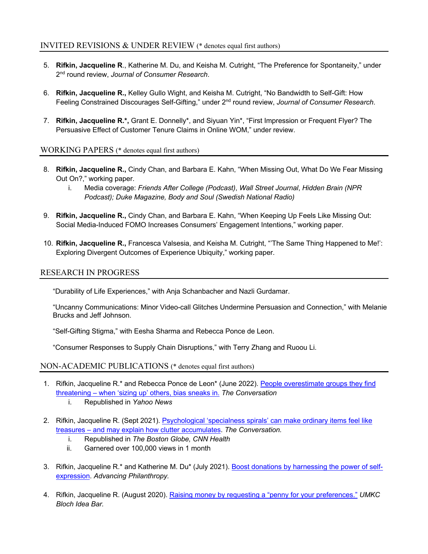## INVITED REVISIONS & UNDER REVIEW (\* denotes equal first authors)

- 5. **Rifkin, Jacqueline R**., Katherine M. Du, and Keisha M. Cutright, "The Preference for Spontaneity," under 2nd round review, *Journal of Consumer Research*.
- 6. **Rifkin, Jacqueline R.,** Kelley Gullo Wight, and Keisha M. Cutright, "No Bandwidth to Self-Gift: How Feeling Constrained Discourages Self-Gifting," under 2nd round review, *Journal of Consumer Research*.
- 7. **Rifkin, Jacqueline R.\*,** Grant E. Donnelly\*, and Siyuan Yin\*, "First Impression or Frequent Flyer? The Persuasive Effect of Customer Tenure Claims in Online WOM," under review.

## WORKING PAPERS (\* denotes equal first authors)

- 8. **Rifkin, Jacqueline R.,** Cindy Chan, and Barbara E. Kahn, "When Missing Out, What Do We Fear Missing Out On?," working paper.
	- i. Media coverage: *Friends After College (Podcast)*, *Wall Street Journal*, *Hidden Brain (NPR Podcast); Duke Magazine, Body and Soul (Swedish National Radio)*
- 9. **Rifkin, Jacqueline R.,** Cindy Chan, and Barbara E. Kahn, "When Keeping Up Feels Like Missing Out: Social Media-Induced FOMO Increases Consumers' Engagement Intentions," working paper.
- 10. **Rifkin, Jacqueline R.,** Francesca Valsesia, and Keisha M. Cutright, "'The Same Thing Happened to Me!': Exploring Divergent Outcomes of Experience Ubiquity," working paper.

## RESEARCH IN PROGRESS

"Durability of Life Experiences," with Anja Schanbacher and Nazli Gurdamar.

"Uncanny Communications: Minor Video-call Glitches Undermine Persuasion and Connection," with Melanie Brucks and Jeff Johnson.

"Self-Gifting Stigma," with Eesha Sharma and Rebecca Ponce de Leon.

"Consumer Responses to Supply Chain Disruptions," with Terry Zhang and Ruoou Li.

## NON-ACADEMIC PUBLICATIONS (\* denotes equal first authors)

- 1. Rifkin, Jacqueline R.\* and Rebecca Ponce de Leon\* (June 2022). People overestimate groups they find threatening – when 'sizing up' others, bias sneaks in. *The Conversation*
	- i. Republished in *Yahoo News*
- 2. Rifkin, Jacqueline R. (Sept 2021). Psychological 'specialness spirals' can make ordinary items feel like treasures – and may explain how clutter accumulates. *The Conversation.*
	- i. Republished in *The Boston Globe, CNN Health*
	- ii. Garnered over 100,000 views in 1 month
- 3. Rifkin, Jacqueline R.\* and Katherine M. Du\* (July 2021). Boost donations by harnessing the power of selfexpression. *Advancing Philanthropy.*
- 4. Rifkin, Jacqueline R. (August 2020). Raising money by requesting a "penny for your preferences." *UMKC Bloch Idea Bar.*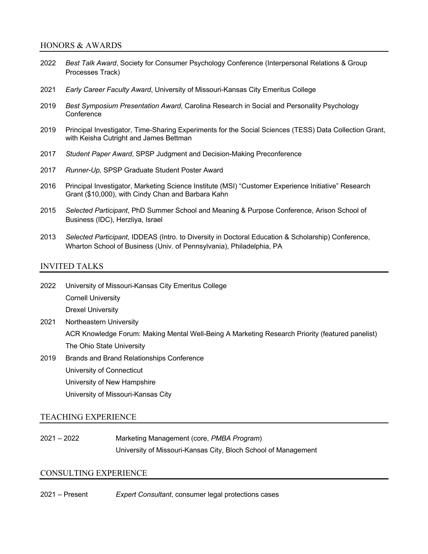#### HONORS & AWARDS

- 2022 *Best Talk Award*, Society for Consumer Psychology Conference (Interpersonal Relations & Group Processes Track)
- 2021 *Early Career Faculty Award*, University of Missouri-Kansas City Emeritus College
- 2019 *Best Symposium Presentation Award*, Carolina Research in Social and Personality Psychology **Conference**
- 2019 Principal Investigator, Time-Sharing Experiments for the Social Sciences (TESS) Data Collection Grant, with Keisha Cutright and James Bettman
- 2017 *Student Paper Award*, SPSP Judgment and Decision-Making Preconference
- 2017 *Runner-Up,* SPSP Graduate Student Poster Award
- 2016 Principal Investigator, Marketing Science Institute (MSI) "Customer Experience Initiative" Research Grant (\$10,000), with Cindy Chan and Barbara Kahn
- 2015 *Selected Participant*, PhD Summer School and Meaning & Purpose Conference, Arison School of Business (IDC), Herzliya, Israel
- 2013 *Selected Participant*, IDDEAS (Intro. to Diversity in Doctoral Education & Scholarship) Conference, Wharton School of Business (Univ. of Pennsylvania), Philadelphia, PA

#### INVITED TALKS

2022 University of Missouri-Kansas City Emeritus College Cornell University Drexel University

2021 Northeastern University

ACR Knowledge Forum: Making Mental Well-Being A Marketing Research Priority (featured panelist) The Ohio State University

2019 Brands and Brand Relationships Conference

University of Connecticut

University of New Hampshire

University of Missouri-Kansas City

#### TEACHING EXPERIENCE

2021 – 2022 Marketing Management (core, *PMBA Program*) University of Missouri-Kansas City, Bloch School of Management

## CONSULTING EXPERIENCE

2021 – Present *Expert Consultant*, consumer legal protections cases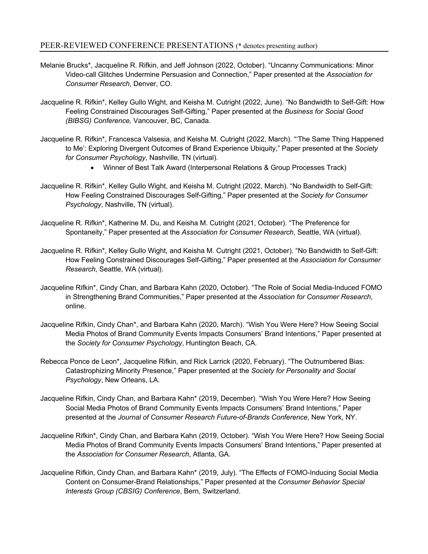- Melanie Brucks\*, Jacqueline R. Rifkin, and Jeff Johnson (2022, October). "Uncanny Communications: Minor Video-call Glitches Undermine Persuasion and Connection," Paper presented at the *Association for Consumer Research*, Denver, CO.
- Jacqueline R. Rifkin\*, Kelley Gullo Wight, and Keisha M. Cutright (2022, June). "No Bandwidth to Self-Gift: How Feeling Constrained Discourages Self-Gifting," Paper presented at the *Business for Social Good (BIBSG) Conference,* Vancouver, BC, Canada.
- Jacqueline R. Rifkin\*, Francesca Valsesia, and Keisha M. Cutright (2022, March). "'The Same Thing Happened to Me': Exploring Divergent Outcomes of Brand Experience Ubiquity," Paper presented at the *Society for Consumer Psychology*, Nashville, TN (virtual).
	- Winner of Best Talk Award (Interpersonal Relations & Group Processes Track)
- Jacqueline R. Rifkin\*, Kelley Gullo Wight, and Keisha M. Cutright (2022, March). "No Bandwidth to Self-Gift: How Feeling Constrained Discourages Self-Gifting," Paper presented at the *Society for Consumer Psychology*, Nashville, TN (virtual).
- Jacqueline R. Rifkin\*, Katherine M. Du, and Keisha M. Cutright (2021, October). "The Preference for Spontaneity," Paper presented at the *Association for Consumer Research*, Seattle, WA (virtual).
- Jacqueline R. Rifkin\*, Kelley Gullo Wight, and Keisha M. Cutright (2021, October). "No Bandwidth to Self-Gift: How Feeling Constrained Discourages Self-Gifting," Paper presented at the *Association for Consumer Research*, Seattle, WA (virtual).
- Jacqueline Rifkin\*, Cindy Chan, and Barbara Kahn (2020, October). "The Role of Social Media-Induced FOMO in Strengthening Brand Communities," Paper presented at the *Association for Consumer Research*, online.
- Jacqueline Rifkin, Cindy Chan\*, and Barbara Kahn (2020, March). "Wish You Were Here? How Seeing Social Media Photos of Brand Community Events Impacts Consumers' Brand Intentions," Paper presented at the *Society for Consumer Psychology*, Huntington Beach, CA.
- Rebecca Ponce de Leon\*, Jacqueline Rifkin, and Rick Larrick (2020, February). "The Outnumbered Bias: Catastrophizing Minority Presence," Paper presented at the *Society for Personality and Social Psychology*, New Orleans, LA.
- Jacqueline Rifkin, Cindy Chan, and Barbara Kahn\* (2019, December). "Wish You Were Here? How Seeing Social Media Photos of Brand Community Events Impacts Consumers' Brand Intentions," Paper presented at the *Journal of Consumer Research Future-of-Brands Conference*, New York, NY.
- Jacqueline Rifkin\*, Cindy Chan, and Barbara Kahn (2019, October). "Wish You Were Here? How Seeing Social Media Photos of Brand Community Events Impacts Consumers' Brand Intentions," Paper presented at the *Association for Consumer Research*, Atlanta, GA.
- Jacqueline Rifkin, Cindy Chan, and Barbara Kahn\* (2019, July). "The Effects of FOMO-Inducing Social Media Content on Consumer-Brand Relationships," Paper presented at the *Consumer Behavior Special Interests Group (CBSIG) Conference*, Bern, Switzerland.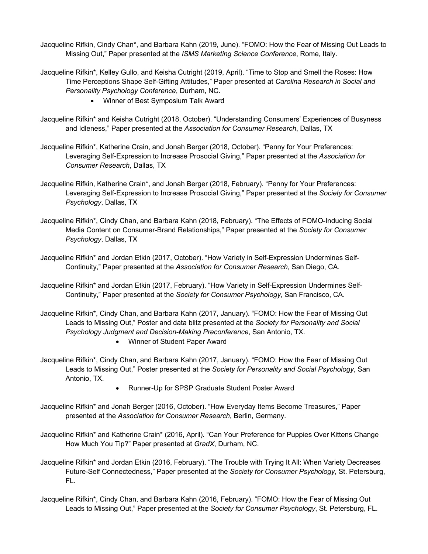- Jacqueline Rifkin, Cindy Chan\*, and Barbara Kahn (2019, June). "FOMO: How the Fear of Missing Out Leads to Missing Out," Paper presented at the *ISMS Marketing Science Conference*, Rome, Italy.
- Jacqueline Rifkin\*, Kelley Gullo, and Keisha Cutright (2019, April). "Time to Stop and Smell the Roses: How Time Perceptions Shape Self-Gifting Attitudes," Paper presented at *Carolina Research in Social and Personality Psychology Conference*, Durham, NC.
	- Winner of Best Symposium Talk Award
- Jacqueline Rifkin\* and Keisha Cutright (2018, October). "Understanding Consumers' Experiences of Busyness and Idleness," Paper presented at the *Association for Consumer Research*, Dallas, TX
- Jacqueline Rifkin\*, Katherine Crain, and Jonah Berger (2018, October). "Penny for Your Preferences: Leveraging Self-Expression to Increase Prosocial Giving," Paper presented at the *Association for Consumer Research*, Dallas, TX
- Jacqueline Rifkin, Katherine Crain\*, and Jonah Berger (2018, February). "Penny for Your Preferences: Leveraging Self-Expression to Increase Prosocial Giving," Paper presented at the *Society for Consumer Psychology*, Dallas, TX
- Jacqueline Rifkin\*, Cindy Chan, and Barbara Kahn (2018, February). "The Effects of FOMO-Inducing Social Media Content on Consumer-Brand Relationships," Paper presented at the *Society for Consumer Psychology*, Dallas, TX
- Jacqueline Rifkin\* and Jordan Etkin (2017, October). "How Variety in Self-Expression Undermines Self-Continuity," Paper presented at the *Association for Consumer Research*, San Diego, CA.
- Jacqueline Rifkin\* and Jordan Etkin (2017, February). "How Variety in Self-Expression Undermines Self-Continuity," Paper presented at the *Society for Consumer Psychology*, San Francisco, CA.
- Jacqueline Rifkin\*, Cindy Chan, and Barbara Kahn (2017, January). "FOMO: How the Fear of Missing Out Leads to Missing Out," Poster and data blitz presented at the *Society for Personality and Social Psychology Judgment and Decision-Making Preconference*, San Antonio, TX.
	- Winner of Student Paper Award
- Jacqueline Rifkin\*, Cindy Chan, and Barbara Kahn (2017, January). "FOMO: How the Fear of Missing Out Leads to Missing Out," Poster presented at the *Society for Personality and Social Psychology*, San Antonio, TX.
	- Runner-Up for SPSP Graduate Student Poster Award
- Jacqueline Rifkin\* and Jonah Berger (2016, October). "How Everyday Items Become Treasures," Paper presented at the *Association for Consumer Research*, Berlin, Germany.
- Jacqueline Rifkin\* and Katherine Crain\* (2016, April). "Can Your Preference for Puppies Over Kittens Change How Much You Tip?" Paper presented at *GradX*, Durham, NC.
- Jacqueline Rifkin\* and Jordan Etkin (2016, February). "The Trouble with Trying It All: When Variety Decreases Future-Self Connectedness," Paper presented at the *Society for Consumer Psychology*, St. Petersburg, FL.
- Jacqueline Rifkin\*, Cindy Chan, and Barbara Kahn (2016, February). "FOMO: How the Fear of Missing Out Leads to Missing Out," Paper presented at the *Society for Consumer Psychology*, St. Petersburg, FL.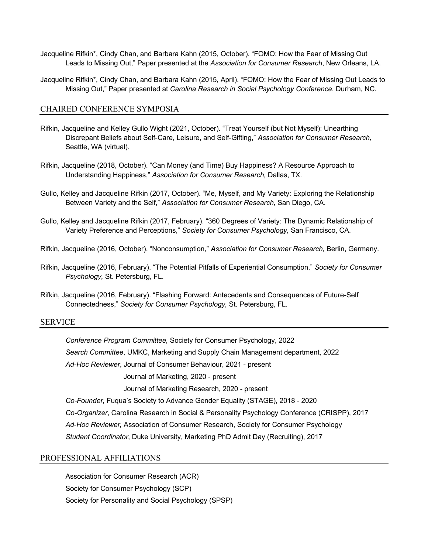- Jacqueline Rifkin\*, Cindy Chan, and Barbara Kahn (2015, October). "FOMO: How the Fear of Missing Out Leads to Missing Out," Paper presented at the *Association for Consumer Research*, New Orleans, LA.
- Jacqueline Rifkin\*, Cindy Chan, and Barbara Kahn (2015, April). "FOMO: How the Fear of Missing Out Leads to Missing Out," Paper presented at *Carolina Research in Social Psychology Conference*, Durham, NC.

### CHAIRED CONFERENCE SYMPOSIA

- Rifkin, Jacqueline and Kelley Gullo Wight (2021, October). "Treat Yourself (but Not Myself): Unearthing Discrepant Beliefs about Self-Care, Leisure, and Self-Gifting," *Association for Consumer Research,* Seattle, WA (virtual).
- Rifkin, Jacqueline (2018, October). "Can Money (and Time) Buy Happiness? A Resource Approach to Understanding Happiness," *Association for Consumer Research,* Dallas, TX.
- Gullo, Kelley and Jacqueline Rifkin (2017, October). "Me, Myself, and My Variety: Exploring the Relationship Between Variety and the Self," *Association for Consumer Research,* San Diego, CA.
- Gullo, Kelley and Jacqueline Rifkin (2017, February). "360 Degrees of Variety: The Dynamic Relationship of Variety Preference and Perceptions," *Society for Consumer Psychology,* San Francisco, CA.
- Rifkin, Jacqueline (2016, October). "Nonconsumption," *Association for Consumer Research,* Berlin, Germany.
- Rifkin, Jacqueline (2016, February). "The Potential Pitfalls of Experiential Consumption," *Society for Consumer Psychology,* St. Petersburg, FL.
- Rifkin, Jacqueline (2016, February). "Flashing Forward: Antecedents and Consequences of Future-Self Connectedness," *Society for Consumer Psychology,* St. Petersburg, FL.

#### SERVICE

*Conference Program Committee,* Society for Consumer Psychology, 2022 *Search Committee*, UMKC, Marketing and Supply Chain Management department, 2022 *Ad-Hoc Reviewer*, Journal of Consumer Behaviour, 2021 - present Journal of Marketing, 2020 - present

Journal of Marketing Research, 2020 - present

*Co-Founder,* Fuqua's Society to Advance Gender Equality (STAGE), 2018 - 2020

*Co-Organizer*, Carolina Research in Social & Personality Psychology Conference (CRISPP), 2017

*Ad-Hoc Reviewer,* Association of Consumer Research, Society for Consumer Psychology

*Student Coordinator*, Duke University, Marketing PhD Admit Day (Recruiting), 2017

#### PROFESSIONAL AFFILIATIONS

Association for Consumer Research (ACR) Society for Consumer Psychology (SCP) Society for Personality and Social Psychology (SPSP)